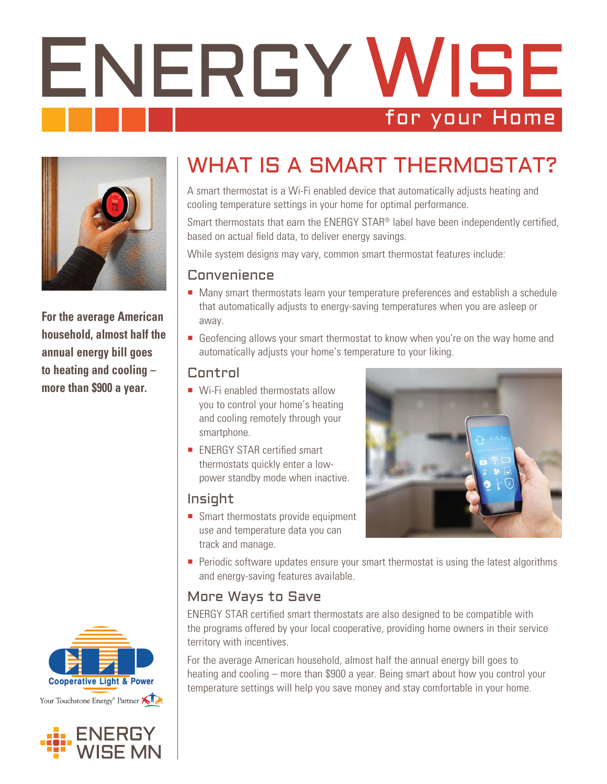# ENERGY WISE for your Home



**For the average American household, almost half the annual energy bill goes to heating and cooling – more than \$900 a year.** 





# WHAT IS A SMART THERMOSTAT?

A smart thermostat is a Wi-Fi enabled device that automatically adjusts heating and cooling temperature settings in your home for optimal performance.

Smart thermostats that earn the ENERGY STAR® label have been independently certified, based on actual field data, to deliver energy savings.

While system designs may vary, common smart thermostat features include:

#### Convenience

- Many smart thermostats learn your temperature preferences and establish a schedule that automatically adjusts to energy-saving temperatures when you are asleep or away.
- Geofencing allows your smart thermostat to know when you're on the way home and automatically adjusts your home's temperature to your liking.

#### Control

- Wi-Fi enabled thermostats allow you to control your home's heating and cooling remotely through your smartphone.
- **ENERGY STAR certified smart** thermostats quickly enter a lowpower standby mode when inactive.

#### Insight

Smart thermostats provide equipment use and temperature data you can track and manage.



**Periodic software updates ensure your smart thermostat is using the latest algorithms** and energy-saving features available.

## More Ways to Save

ENERGY STAR certified smart thermostats are also designed to be compatible with the programs offered by your local cooperative, providing home owners in their service territory with incentives.

For the average American household, almost half the annual energy bill goes to heating and cooling – more than \$900 a year. Being smart about how you control your temperature settings will help you save money and stay comfortable in your home.